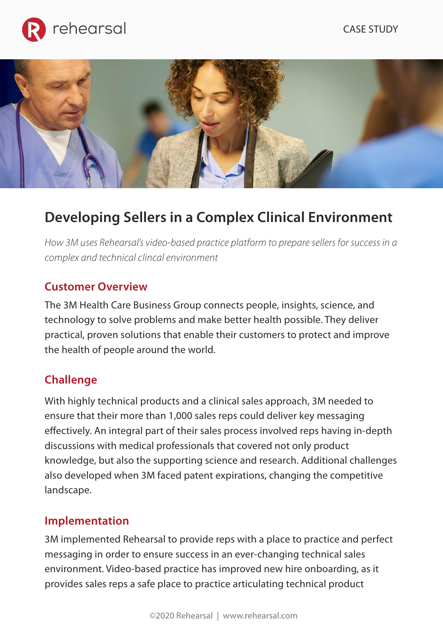





# **Developing Sellers in a Complex Clinical Environment**

*How 3M uses Rehearsal's video-based practice platform to prepare sellers for success in a complex and technical clincal environment*

## **Customer Overview**

The 3M Health Care Business Group connects people, insights, science, and technology to solve problems and make better health possible. They deliver practical, proven solutions that enable their customers to protect and improve the health of people around the world.

#### **Challenge**

With highly technical products and a clinical sales approach, 3M needed to ensure that their more than 1,000 sales reps could deliver key messaging effectively. An integral part of their sales process involved reps having in-depth discussions with medical professionals that covered not only product knowledge, but also the supporting science and research. Additional challenges also developed when 3M faced patent expirations, changing the competitive landscape.

#### **Implementation**

3M implemented Rehearsal to provide reps with a place to practice and perfect messaging in order to ensure success in an ever-changing technical sales environment. Video-based practice has improved new hire onboarding, as it provides sales reps a safe place to practice articulating technical product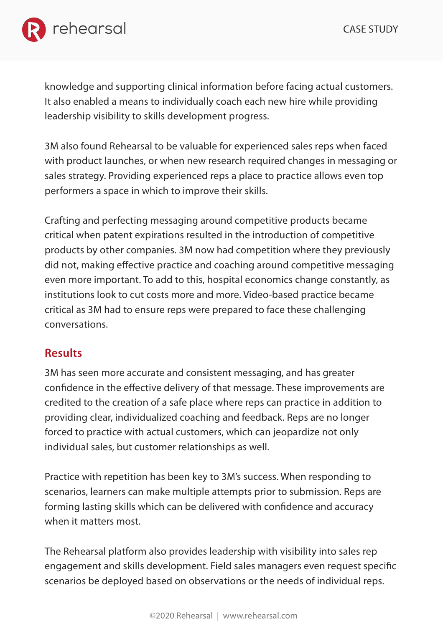

knowledge and supporting clinical information before facing actual customers. It also enabled a means to individually coach each new hire while providing leadership visibility to skills development progress.

3M also found Rehearsal to be valuable for experienced sales reps when faced with product launches, or when new research required changes in messaging or sales strategy. Providing experienced reps a place to practice allows even top performers a space in which to improve their skills.

Crafting and perfecting messaging around competitive products became critical when patent expirations resulted in the introduction of competitive products by other companies. 3M now had competition where they previously did not, making effective practice and coaching around competitive messaging even more important. To add to this, hospital economics change constantly, as institutions look to cut costs more and more. Video-based practice became critical as 3M had to ensure reps were prepared to face these challenging conversations.

# **Results**

3M has seen more accurate and consistent messaging, and has greater confidence in the effective delivery of that message. These improvements are credited to the creation of a safe place where reps can practice in addition to providing clear, individualized coaching and feedback. Reps are no longer forced to practice with actual customers, which can jeopardize not only individual sales, but customer relationships as well.

Practice with repetition has been key to 3M's success. When responding to scenarios, learners can make multiple attempts prior to submission. Reps are forming lasting skills which can be delivered with confidence and accuracy when it matters most.

The Rehearsal platform also provides leadership with visibility into sales rep engagement and skills development. Field sales managers even request specific scenarios be deployed based on observations or the needs of individual reps.